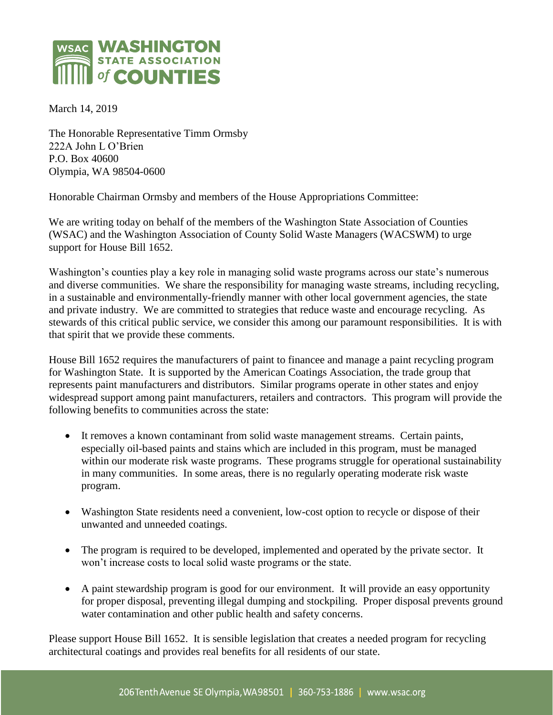

March 14, 2019

The Honorable Representative Timm Ormsby 222A John L O'Brien P.O. Box 40600 Olympia, WA 98504-0600

Honorable Chairman Ormsby and members of the House Appropriations Committee:

We are writing today on behalf of the members of the Washington State Association of Counties (WSAC) and the Washington Association of County Solid Waste Managers (WACSWM) to urge support for House Bill 1652.

Washington's counties play a key role in managing solid waste programs across our state's numerous and diverse communities. We share the responsibility for managing waste streams, including recycling, in a sustainable and environmentally-friendly manner with other local government agencies, the state and private industry. We are committed to strategies that reduce waste and encourage recycling. As stewards of this critical public service, we consider this among our paramount responsibilities. It is with that spirit that we provide these comments.

House Bill 1652 requires the manufacturers of paint to financee and manage a paint recycling program for Washington State. It is supported by the American Coatings Association, the trade group that represents paint manufacturers and distributors. Similar programs operate in other states and enjoy widespread support among paint manufacturers, retailers and contractors. This program will provide the following benefits to communities across the state:

- It removes a known contaminant from solid waste management streams. Certain paints, especially oil-based paints and stains which are included in this program, must be managed within our moderate risk waste programs. These programs struggle for operational sustainability in many communities. In some areas, there is no regularly operating moderate risk waste program.
- Washington State residents need a convenient, low-cost option to recycle or dispose of their unwanted and unneeded coatings.
- The program is required to be developed, implemented and operated by the private sector. It won't increase costs to local solid waste programs or the state.
- A paint stewardship program is good for our environment. It will provide an easy opportunity for proper disposal, preventing illegal dumping and stockpiling. Proper disposal prevents ground water contamination and other public health and safety concerns.

Please support House Bill 1652. It is sensible legislation that creates a needed program for recycling architectural coatings and provides real benefits for all residents of our state.